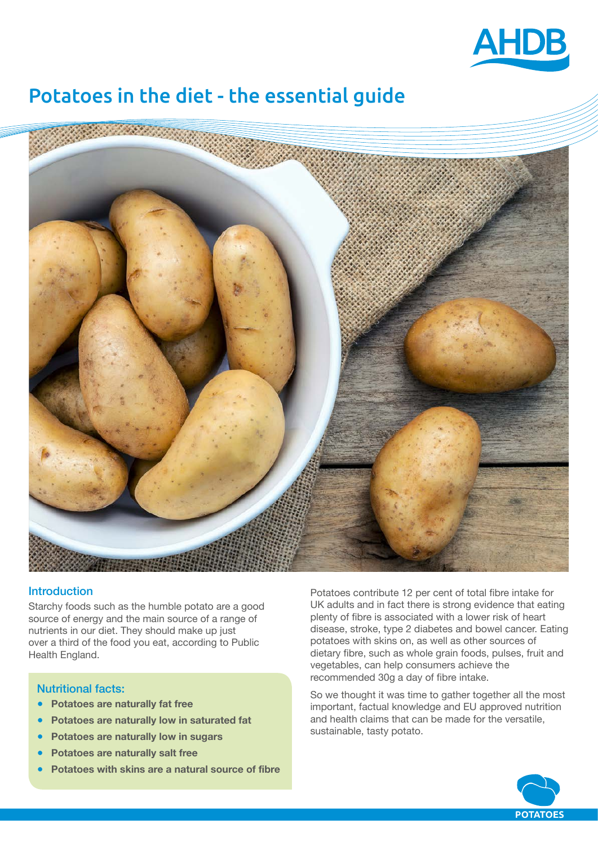

# Potatoes in the diet - the essential guide



# **Introduction**

Starchy foods such as the humble potato are a good source of energy and the main source of a range of nutrients in our diet. They should make up just over a third of the food you eat, according to Public Health England.

# Nutritional facts:

- **Potatoes are naturally fat free**
- **Potatoes are naturally low in saturated fat**
- **Potatoes are naturally low in sugars**
- **Potatoes are naturally salt free**
- **Potatoes with skins are a natural source of fibre**

Potatoes contribute 12 per cent of total fibre intake for UK adults and in fact there is strong evidence that eating plenty of fibre is associated with a lower risk of heart disease, stroke, type 2 diabetes and bowel cancer. Eating potatoes with skins on, as well as other sources of dietary fibre, such as whole grain foods, pulses, fruit and vegetables, can help consumers achieve the recommended 30g a day of fibre intake.

So we thought it was time to gather together all the most important, factual knowledge and EU approved nutrition and health claims that can be made for the versatile, sustainable, tasty potato.

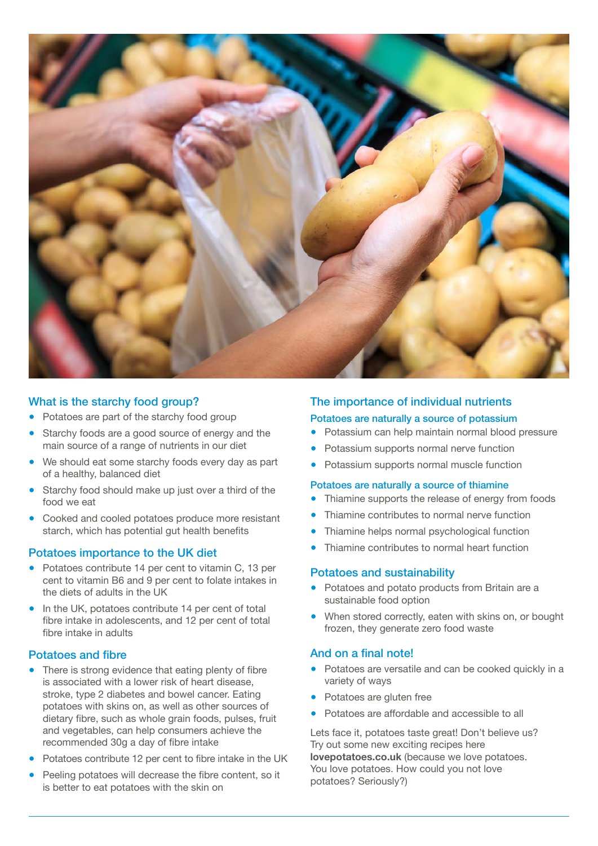

# What is the starchy food group?

- Potatoes are part of the starchy food group
- Starchy foods are a good source of energy and the main source of a range of nutrients in our diet
- We should eat some starchy foods every day as part of a healthy, balanced diet
- Starchy food should make up just over a third of the food we eat
- Cooked and cooled potatoes produce more resistant starch, which has potential gut health benefits

# Potatoes importance to the UK diet

- Potatoes contribute 14 per cent to vitamin C, 13 per cent to vitamin B6 and 9 per cent to folate intakes in the diets of adults in the UK
- In the UK, potatoes contribute 14 per cent of total fibre intake in adolescents, and 12 per cent of total fibre intake in adults

# Potatoes and fibre

- There is strong evidence that eating plenty of fibre is associated with a lower risk of heart disease, stroke, type 2 diabetes and bowel cancer. Eating potatoes with skins on, as well as other sources of dietary fibre, such as whole grain foods, pulses, fruit and vegetables, can help consumers achieve the recommended 30g a day of fibre intake
- Potatoes contribute 12 per cent to fibre intake in the UK
- Peeling potatoes will decrease the fibre content, so it is better to eat potatoes with the skin on

# The importance of individual nutrients

#### Potatoes are naturally a source of potassium

- Potassium can help maintain normal blood pressure
- Potassium supports normal nerve function
- Potassium supports normal muscle function

#### Potatoes are naturally a source of thiamine

- Thiamine supports the release of energy from foods
- Thiamine contributes to normal nerve function
- Thiamine helps normal psychological function
- Thiamine contributes to normal heart function

#### Potatoes and sustainability

- Potatoes and potato products from Britain are a sustainable food option
- When stored correctly, eaten with skins on, or bought frozen, they generate zero food waste

#### And on a final note!

- Potatoes are versatile and can be cooked quickly in a variety of ways
- Potatoes are gluten free
- Potatoes are affordable and accessible to all

Lets face it, potatoes taste great! Don't believe us? Try out some new exciting recipes here **[lovepotatoes.co.uk](http://lovepotatoes.co.uk)** (because we love potatoes. You love potatoes. How could you not love potatoes? Seriously?)